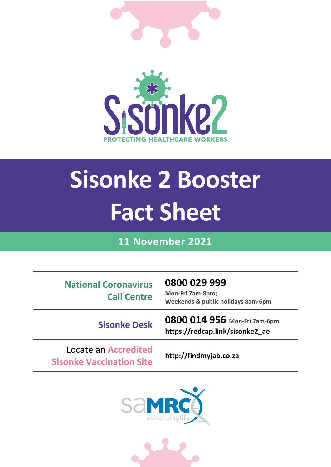

# **Sisonke 2 Booster Fact Sheet**

### **11 November 2021**

**National Coronavirus Call Centre** **0800 029 999 Mon-Fri 7am-8pm; Weekends & public holidays 8am-6pm**

**Sisonke Desk 0800 014 956 Mon-Fri 7am-6pm https://redcap.link/sisonke2\_ae**

Locate an **Accredited Sisonke Vaccination Site http://findmyjab.co.za**



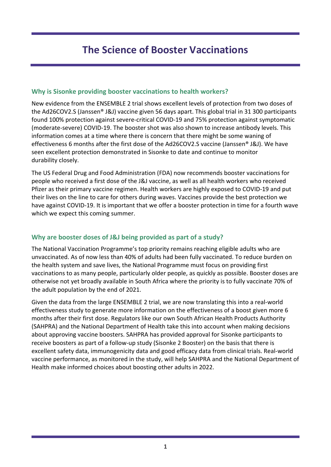## **The Science of Booster Vaccinations**

#### **Why is Sisonke providing booster vaccinations to health workers?**

New evidence from the ENSEMBLE 2 trial shows excellent levels of protection from two doses of the Ad26COV2.S (Janssen® J&J) vaccine given 56 days apart. This global trial in 31 300 participants found 100% protection against severe-critical COVID-19 and 75% protection against symptomatic (moderate-severe) COVID-19. The booster shot was also shown to increase antibody levels. This information comes at a time where there is concern that there might be some waning of effectiveness 6 months after the first dose of the Ad26COV2.S vaccine (Janssen® J&J). We have seen excellent protection demonstrated in Sisonke to date and continue to monitor durability closely.

The US Federal Drug and Food Administration (FDA) now recommends booster vaccinations for people who received a first dose of the J&J vaccine, as well as all health workers who received Pfizer as their primary vaccine regimen. Health workers are highly exposed to COVID-19 and put their lives on the line to care for others during waves. Vaccines provide the best protection we have against COVID-19. It is important that we offer a booster protection in time for a fourth wave which we expect this coming summer.

#### **Why are booster doses of J&J being provided as part of a study?**

The National Vaccination Programme's top priority remains reaching eligible adults who are unvaccinated. As of now less than 40% of adults had been fully vaccinated. To reduce burden on the health system and save lives, the National Programme must focus on providing first vaccinations to as many people, particularly older people, as quickly as possible. Booster doses are otherwise not yet broadly available in South Africa where the priority is to fully vaccinate 70% of the adult population by the end of 2021.

Given the data from the large ENSEMBLE 2 trial, we are now translating this into a real-world effectiveness study to generate more information on the effectiveness of a boost given more 6 months after their first dose. Regulators like our own South African Health Products Authority (SAHPRA) and the National Department of Health take this into account when making decisions about approving vaccine boosters. SAHPRA has provided approval for Sisonke participants to receive boosters as part of a follow-up study (Sisonke 2 Booster) on the basis that there is excellent safety data, immunogenicity data and good efficacy data from clinical trials. Real-world vaccine performance, as monitored in the study, will help SAHPRA and the National Department of Health make informed choices about boosting other adults in 2022.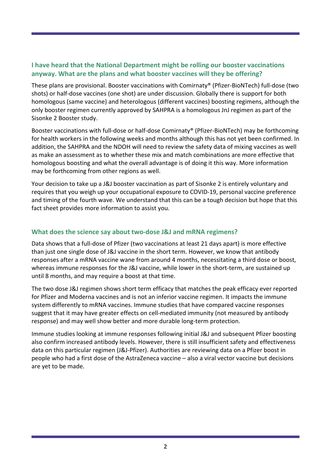#### **I have heard that the National Department might be rolling our booster vaccinations anyway. What are the plans and what booster vaccines will they be offering?**

These plans are provisional. Booster vaccinations with Comirnaty® (Pfizer-BioNTech) full-dose (two shots) or half-dose vaccines (one shot) are under discussion. Globally there is support for both homologous (same vaccine) and heterologous (different vaccines) boosting regimens, although the only booster regimen currently approved by SAHPRA is a homologous JnJ regimen as part of the Sisonke 2 Booster study.

Booster vaccinations with full-dose or half-dose Comirnaty® (Pfizer-BioNTech) may be forthcoming for health workers in the following weeks and months although this has not yet been confirmed. In addition, the SAHPRA and the NDOH will need to review the safety data of mixing vaccines as well as make an assessment as to whether these mix and match combinations are more effective that homologous boosting and what the overall advantage is of doing it this way. More information may be forthcoming from other regions as well.

Your decision to take up a J&J booster vaccination as part of Sisonke 2 is entirely voluntary and requires that you weigh up your occupational exposure to COVID-19, personal vaccine preference and timing of the fourth wave. We understand that this can be a tough decision but hope that this fact sheet provides more information to assist you.

#### **What does the science say about two-dose J&J and mRNA regimens?**

Data shows that a full-dose of Pfizer (two vaccinations at least 21 days apart) is more effective than just one single dose of J&J vaccine in the short term. However, we know that antibody responses after a mRNA vaccine wane from around 4 months, necessitating a third dose or boost, whereas immune responses for the J&J vaccine, while lower in the short-term, are sustained up until 8 months, and may require a boost at that time.

The two dose J&J regimen shows short term efficacy that matches the peak efficacy ever reported for Pfizer and Moderna vaccines and is not an inferior vaccine regimen. It impacts the immune system differently to mRNA vaccines. Immune studies that have compared vaccine responses suggest that it may have greater effects on cell-mediated immunity (not measured by antibody response) and may well show better and more durable long-term protection.

Immune studies looking at immune responses following initial J&J and subsequent Pfizer boosting also confirm increased antibody levels. However, there is still insufficient safety and effectiveness data on this particular regimen (J&J-Pfizer). Authorities are reviewing data on a Pfizer boost in people who had a first dose of the AstraZeneca vaccine – also a viral vector vaccine but decisions are yet to be made.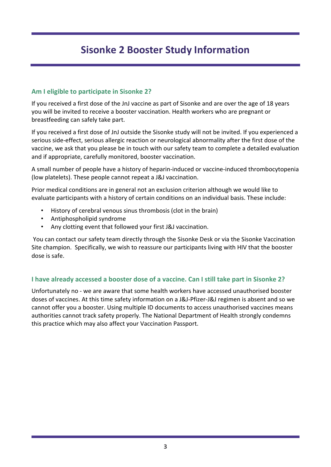## **Sisonke 2 Booster Study Information**

#### **Am I eligible to participate in Sisonke 2?**

If you received a first dose of the JnJ vaccine as part of Sisonke and are over the age of 18 years you will be invited to receive a booster vaccination. Health workers who are pregnant or breastfeeding can safely take part.

If you received a first dose of JnJ outside the Sisonke study will not be invited. If you experienced a serious side-effect, serious allergic reaction or neurological abnormality after the first dose of the vaccine, we ask that you please be in touch with our safety team to complete a detailed evaluation and if appropriate, carefully monitored, booster vaccination.

A small number of people have a history of heparin-induced or vaccine-induced thrombocytopenia (low platelets). These people cannot repeat a J&J vaccination.

Prior medical conditions are in general not an exclusion criterion although we would like to evaluate participants with a history of certain conditions on an individual basis. These include:

- History of cerebral venous sinus thrombosis (clot in the brain)
- Antiphospholipid syndrome
- Any clotting event that followed your first J&J vaccination.

You can contact our safety team directly through the Sisonke Desk or via the Sisonke Vaccination Site champion. Specifically, we wish to reassure our participants living with HIV that the booster dose is safe.

#### **I have already accessed a booster dose of a vaccine. Can I still take part in Sisonke 2?**

Unfortunately no - we are aware that some health workers have accessed unauthorised booster doses of vaccines. At this time safety information on a J&J-Pfizer-J&J regimen is absent and so we cannot offer you a booster. Using multiple ID documents to access unauthorised vaccines means authorities cannot track safety properly. The National Department of Health strongly condemns this practice which may also affect your Vaccination Passport.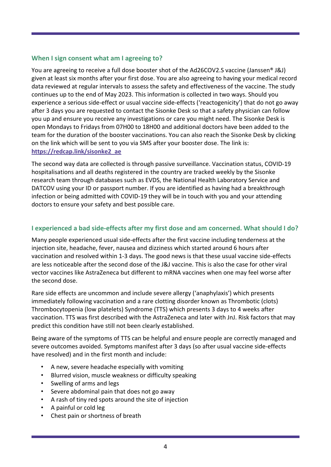#### **When I sign consent what am I agreeing to?**

You are agreeing to receive a full dose booster shot of the Ad26COV2.S vaccine (Janssen® J&J) given at least six months after your first dose. You are also agreeing to having your medical record data reviewed at regular intervals to assess the safety and effectiveness of the vaccine. The study continues up to the end of May 2023. This information is collected in two ways. Should you experience a serious side-effect or usual vaccine side-effects ('reactogenicity') that do not go away after 3 days you are requested to contact the Sisonke Desk so that a safety physician can follow you up and ensure you receive any investigations or care you might need. The Sisonke Desk is open Mondays to Fridays from 07H00 to 18H00 and additional doctors have been added to the team for the duration of the booster vaccinations. You can also reach the Sisonke Desk by clicking on the link which will be sent to you via SMS after your booster dose. The link is: **[https://redcap.link/sisonke2\\_ae](https://redcap.link/sisonke2_ae)**

The second way data are collected is through passive surveillance. Vaccination status, COVID-19 hospitalisations and all deaths registered in the country are tracked weekly by the Sisonke research team through databases such as EVDS, the National Health Laboratory Service and DATCOV using your ID or passport number. If you are identified as having had a breakthrough infection or being admitted with COVID-19 they will be in touch with you and your attending doctors to ensure your safety and best possible care.

#### **I experienced a bad side-effects after my first dose and am concerned. What should I do?**

Many people experienced usual side-effects after the first vaccine including tenderness at the injection site, headache, fever, nausea and dizziness which started around 6 hours after vaccination and resolved within 1-3 days. The good news is that these usual vaccine side-effects are less noticeable after the second dose of the J&J vaccine. This is also the case for other viral vector vaccines like AstraZeneca but different to mRNA vaccines when one may feel worse after the second dose.

Rare side effects are uncommon and include severe allergy ('anaphylaxis') which presents immediately following vaccination and a rare clotting disorder known as Thrombotic (clots) Thrombocytopenia (low platelets) Syndrome (TTS) which presents 3 days to 4 weeks after vaccination. TTS was first described with the AstraZeneca and later with JnJ. Risk factors that may predict this condition have still not been clearly established.

Being aware of the symptoms of TTS can be helpful and ensure people are correctly managed and severe outcomes avoided. Symptoms manifest after 3 days (so after usual vaccine side-effects have resolved) and in the first month and include:

- A new, severe headache especially with vomiting
- Blurred vision, muscle weakness or difficulty speaking
- Swelling of arms and legs
- Severe abdominal pain that does not go away
- A rash of tiny red spots around the site of injection
- A painful or cold leg
- Chest pain or shortness of breath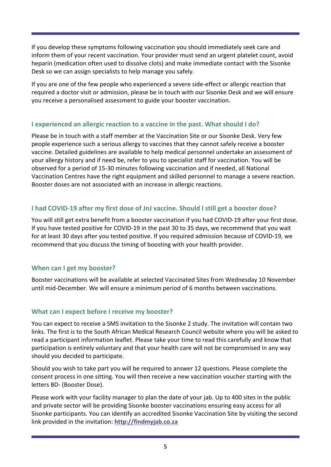If you develop these symptoms following vaccination you should immediately seek care and inform them of your recent vaccination. Your provider must send an urgent platelet count, avoid heparin (medication often used to dissolve clots) and make immediate contact with the Sisonke Desk so we can assign specialists to help manage you safely.

If you are one of the few people who experienced a severe side-effect or allergic reaction that required a doctor visit or admission, please be in touch with our Sisonke Desk and we will ensure you receive a personalised assessment to guide your booster vaccination.

#### **I experienced an allergic reaction to a vaccine in the past. What should I do?**

Please be in touch with a staff member at the Vaccination Site or our Sisonke Desk. Very few people experience such a serious allergy to vaccines that they cannot safely receive a booster vaccine. Detailed guidelines are available to help medical personnel undertake an assessment of your allergy history and if need be, refer to you to specialist staff for vaccination. You will be observed for a period of 15-30 minutes following vaccination and if needed, all National Vaccination Centres have the right equipment and skilled personnel to manage a severe reaction. Booster doses are not associated with an increase in allergic reactions.

#### **I had COVID-19 after my first dose of JnJ vaccine. Should I still get a booster dose?**

You will still get extra benefit from a booster vaccination if you had COVID-19 after your first dose. If you have tested positive for COVID-19 in the past 30 to 35 days, we recommend that you wait for at least 30 days after you tested positive. If you required admission because of COVID-19, we recommend that you discuss the timing of boosting with your health provider.

#### **When can I get my booster?**

Booster vaccinations will be available at selected Vaccinated Sites from Wednesday 10 November until mid-December. We will ensure a minimum period of 6 months between vaccinations.

#### **What can I expect before I receive my booster?**

You can expect to receive a SMS invitation to the Sisonke 2 study. The invitation will contain two links. The first is to the South African Medical Research Council website where you will be asked to read a participant information leaflet. Please take your time to read this carefully and know that participation is entirely voluntary and that your health care will not be compromised in any way should you decided to participate.

Should you wish to take part you will be required to answer 12 questions. Please complete the consent process in one sitting. You will then receive a new vaccination voucher starting with the letters BD- (Booster Dose).

Please work with your facility manager to plan the date of your jab. Up to 400 sites in the public and private sector will be providing Sisonke booster vaccinations ensuring easy access for all Sisonke participants. You can identify an accredited Sisonke Vaccination Site by visiting the second link provided in the invitation: **[http://findmyjab.co.za](http://findmyjab.co.za/)**